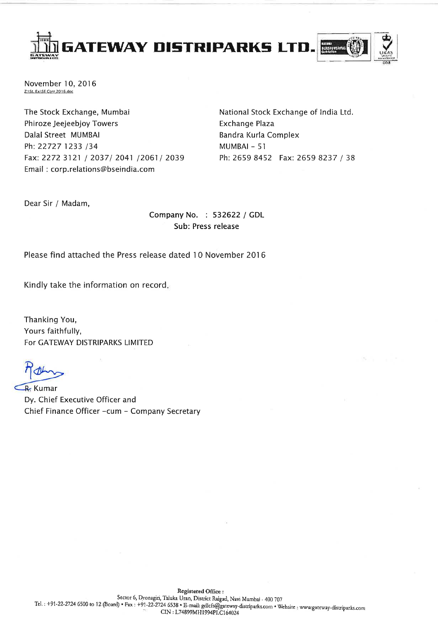**GATEWAY DISTRIPARKS LTD.** 



November 10, 2016 Z:\St. Ex\SE Corr 2016.doc

The Stock Exchange, Mumbai Phiroze Jeejeebjoy Towers Dalal Street MUMBAI Ph: 22727 1233 /34 Fax: 2272 3121 / 2037/ 2041 /2061/ 2039 Email: corp.relations@bseindia.com

National Stock Exchange of India Ltd. Exchange Plaza Bandra Kurla Complex MUMBAI - 51 Ph: 2659 8452 Fax: 2659 8237 / 38

Dear Sir / Madam,

Company No. : 532622 / GDL Sub: Press release

Please find attached the Press release dated 10 November 2016

Kindly take the information on record.

Thanking You, Yours faithfully, For GATEWAY DISTRIPARKS LIMITED

**R.** Kumar Dy. Chief Executive Officer and Chief Finance Officer -cum - Company Secretary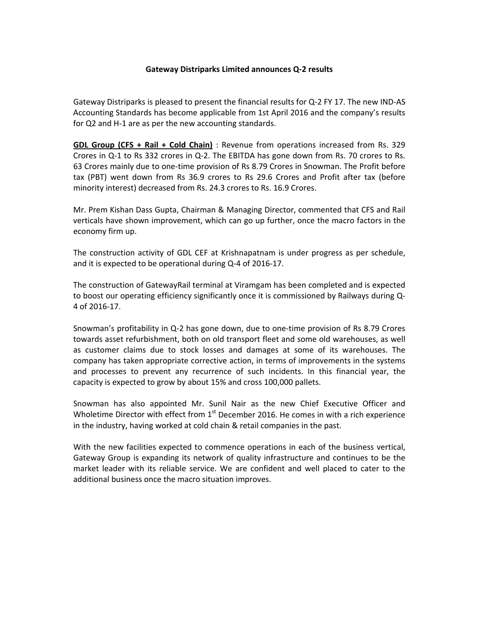## **Gateway Distriparks Limited announces Q‐2 results**

Gateway Distriparks is pleased to present the financial results for Q‐2 FY 17. The new IND‐AS Accounting Standards has become applicable from 1st April 2016 and the company's results for Q2 and H‐1 are as per the new accounting standards.

**GDL Group (CFS + Rail + Cold Chain)** : Revenue from operations increased from Rs. 329 Crores in Q‐1 to Rs 332 crores in Q‐2. The EBITDA has gone down from Rs. 70 crores to Rs. 63 Crores mainly due to one‐time provision of Rs 8.79 Crores in Snowman. The Profit before tax (PBT) went down from Rs 36.9 crores to Rs 29.6 Crores and Profit after tax (before minority interest) decreased from Rs. 24.3 crores to Rs. 16.9 Crores.

Mr. Prem Kishan Dass Gupta, Chairman & Managing Director, commented that CFS and Rail verticals have shown improvement, which can go up further, once the macro factors in the economy firm up.

The construction activity of GDL CEF at Krishnapatnam is under progress as per schedule, and it is expected to be operational during Q‐4 of 2016‐17.

The construction of GatewayRail terminal at Viramgam has been completed and is expected to boost our operating efficiency significantly once it is commissioned by Railways during Q-4 of 2016‐17.

Snowman's profitability in Q-2 has gone down, due to one-time provision of Rs 8.79 Crores towards asset refurbishment, both on old transport fleet and some old warehouses, as well as customer claims due to stock losses and damages at some of its warehouses. The company has taken appropriate corrective action, in terms of improvements in the systems and processes to prevent any recurrence of such incidents. In this financial year, the capacity is expected to grow by about 15% and cross 100,000 pallets.

Snowman has also appointed Mr. Sunil Nair as the new Chief Executive Officer and Wholetime Director with effect from  $1<sup>st</sup>$  December 2016. He comes in with a rich experience in the industry, having worked at cold chain & retail companies in the past.

With the new facilities expected to commence operations in each of the business vertical, Gateway Group is expanding its network of quality infrastructure and continues to be the market leader with its reliable service. We are confident and well placed to cater to the additional business once the macro situation improves.